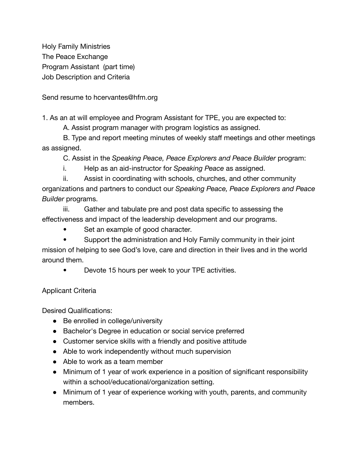Holy Family Ministries The Peace Exchange Program Assistant (part time) Job Description and Criteria

Send resume to hcervantes@hfm.org

1. As an at will employee and Program Assistant for TPE, you are expected to:

A. Assist program manager with program logistics as assigned.

B. Type and report meeting minutes of weekly staff meetings and other meetings as assigned.

C. Assist in the *Speaking Peace, Peace Explorers and Peace Builder* program:

i. Help as an aid-instructor for *Speaking Peace* as assigned.

ii. Assist in coordinating with schools, churches, and other community organizations and partners to conduct our *Speaking Peace, Peace Explorers and Peace Builder* programs.

iii. Gather and tabulate pre and post data specific to assessing the effectiveness and impact of the leadership development and our programs.

- Set an example of good character.
- Support the administration and Holy Family community in their joint

mission of helping to see God's love, care and direction in their lives and in the world around them.

• Devote 15 hours per week to your TPE activities.

Applicant Criteria

Desired Qualifications:

- Be enrolled in college/university
- Bachelor's Degree in education or social service preferred
- Customer service skills with a friendly and positive attitude
- Able to work independently without much supervision
- Able to work as a team member
- Minimum of 1 year of work experience in a position of significant responsibility within a school/educational/organization setting.
- Minimum of 1 year of experience working with youth, parents, and community members.